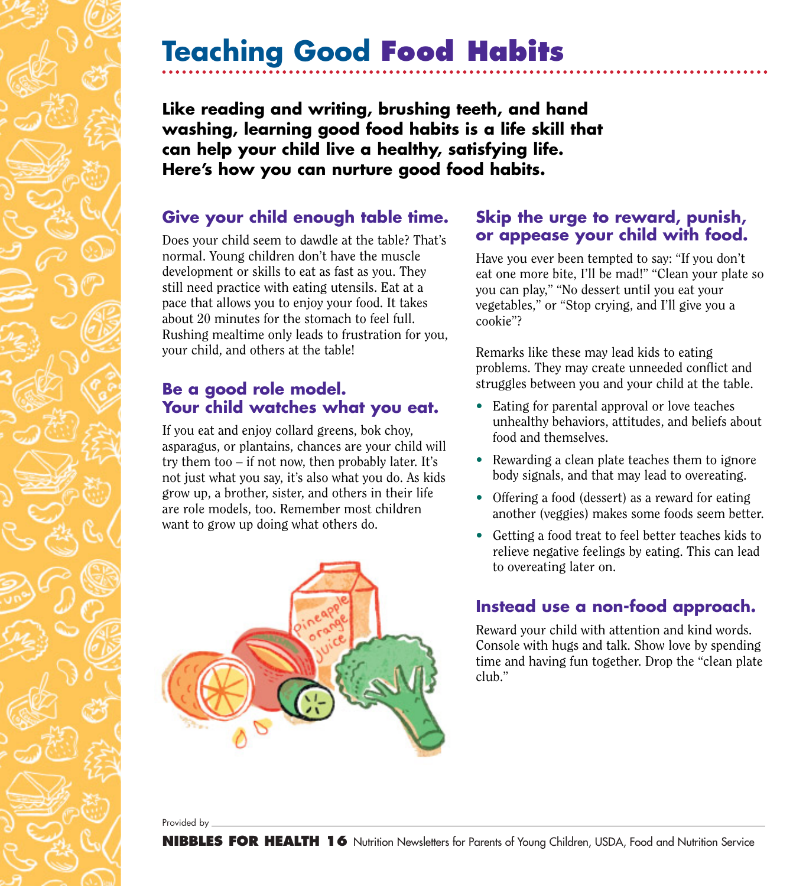# **Teaching Good Food Habits**

**Like reading and writing, brushing teeth, and hand washing, learning good food habits is a life skill that can help your child live a healthy, satisfying life. Here's how you can nurture good food habits.**

### **Give your child enough table time.**

Does your child seem to dawdle at the table? That's normal. Young children don't have the muscle development or skills to eat as fast as you. They still need practice with eating utensils. Eat at a pace that allows you to enjoy your food. It takes about 20 minutes for the stomach to feel full. Rushing mealtime only leads to frustration for you, your child, and others at the table!

### **Be a good role model. Your child watches what you eat.**

If you eat and enjoy collard greens, bok choy, asparagus, or plantains, chances are your child will try them too – if not now, then probably later. It's not just what you say, it's also what you do. As kids grow up, a brother, sister, and others in their life are role models, too. Remember most children want to grow up doing what others do.



#### **Skip the urge to reward, punish, or appease your child with food.**

Have you ever been tempted to say: "If you don't eat one more bite, I'll be mad!" "Clean your plate so you can play," "No dessert until you eat your vegetables," or "Stop crying, and I'll give you a cookie"?

Remarks like these may lead kids to eating problems. They may create unneeded conflict and struggles between you and your child at the table.

- Eating for parental approval or love teaches unhealthy behaviors, attitudes, and beliefs about food and themselves.
- Rewarding a clean plate teaches them to ignore body signals, and that may lead to overeating.
- Offering a food (dessert) as a reward for eating another (veggies) makes some foods seem better.
- Getting a food treat to feel better teaches kids to relieve negative feelings by eating. This can lead to overeating later on.

### **Instead use a non-food approach.**

Reward your child with attention and kind words. Console with hugs and talk. Show love by spending time and having fun together. Drop the "clean plate club."

Provided by